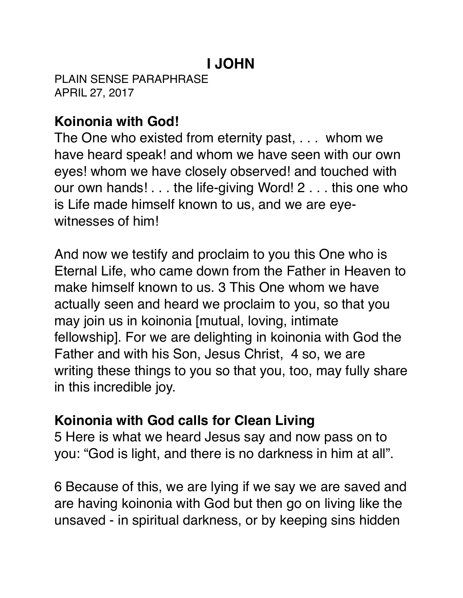# **I JOHN**

PLAIN SENSE PARAPHRASE APRIL 27, 2017

## **Koinonia with God!**

The One who existed from eternity past, . . . whom we have heard speak! and whom we have seen with our own eyes! whom we have closely observed! and touched with our own hands! . . . the life-giving Word! 2 . . . this one who is Life made himself known to us, and we are eyewitnesses of him!

And now we testify and proclaim to you this One who is Eternal Life, who came down from the Father in Heaven to make himself known to us. 3 This One whom we have actually seen and heard we proclaim to you, so that you may join us in koinonia [mutual, loving, intimate fellowship]. For we are delighting in koinonia with God the Father and with his Son, Jesus Christ, 4 so, we are writing these things to you so that you, too, may fully share in this incredible joy.

### **Koinonia with God calls for Clean Living**

5 Here is what we heard Jesus say and now pass on to you: "God is light, and there is no darkness in him at all".

6 Because of this, we are lying if we say we are saved and are having koinonia with God but then go on living like the unsaved - in spiritual darkness, or by keeping sins hidden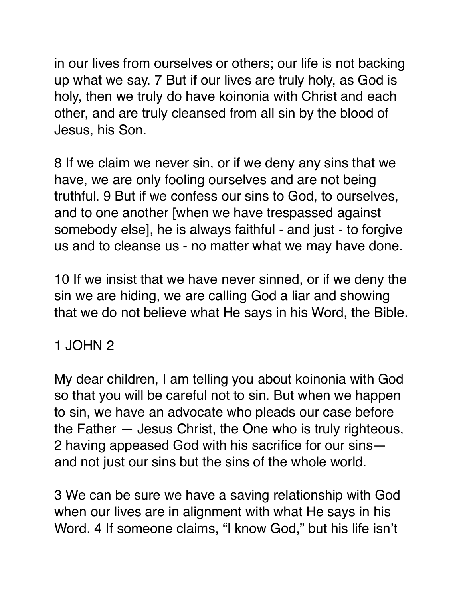in our lives from ourselves or others; our life is not backing up what we say. 7 But if our lives are truly holy, as God is holy, then we truly do have koinonia with Christ and each other, and are truly cleansed from all sin by the blood of Jesus, his Son.

8 If we claim we never sin, or if we deny any sins that we have, we are only fooling ourselves and are not being truthful. 9 But if we confess our sins to God, to ourselves, and to one another [when we have trespassed against somebody else], he is always faithful - and just - to forgive us and to cleanse us - no matter what we may have done.

10 If we insist that we have never sinned, or if we deny the sin we are hiding, we are calling God a liar and showing that we do not believe what He says in his Word, the Bible.

### 1 JOHN 2

My dear children, I am telling you about koinonia with God so that you will be careful not to sin. But when we happen to sin, we have an advocate who pleads our case before the Father — Jesus Christ, the One who is truly righteous, 2 having appeased God with his sacrifice for our sins and not just our sins but the sins of the whole world.

3 We can be sure we have a saving relationship with God when our lives are in alignment with what He says in his Word. 4 If someone claims, "I know God," but his life isn't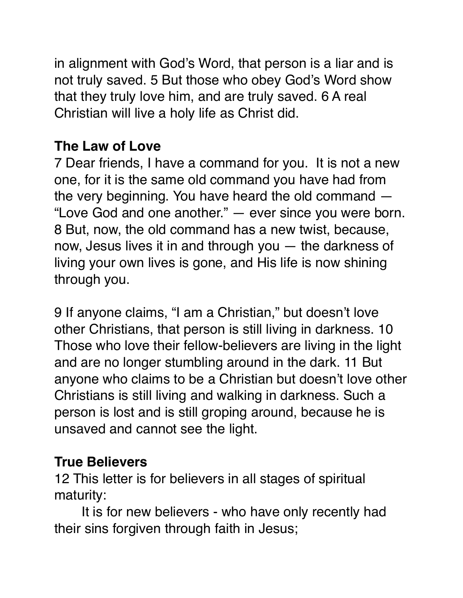in alignment with God's Word, that person is a liar and is not truly saved. 5 But those who obey God's Word show that they truly love him, and are truly saved. 6 A real Christian will live a holy life as Christ did.

## **The Law of Love**

7 Dear friends, I have a command for you. It is not a new one, for it is the same old command you have had from the very beginning. You have heard the old command — "Love God and one another." — ever since you were born. 8 But, now, the old command has a new twist, because, now, Jesus lives it in and through you — the darkness of living your own lives is gone, and His life is now shining through you.

9 If anyone claims, "I am a Christian," but doesn't love other Christians, that person is still living in darkness. 10 Those who love their fellow-believers are living in the light and are no longer stumbling around in the dark. 11 But anyone who claims to be a Christian but doesn't love other Christians is still living and walking in darkness. Such a person is lost and is still groping around, because he is unsaved and cannot see the light.

### **True Believers**

12 This letter is for believers in all stages of spiritual maturity:

It is for new believers - who have only recently had their sins forgiven through faith in Jesus;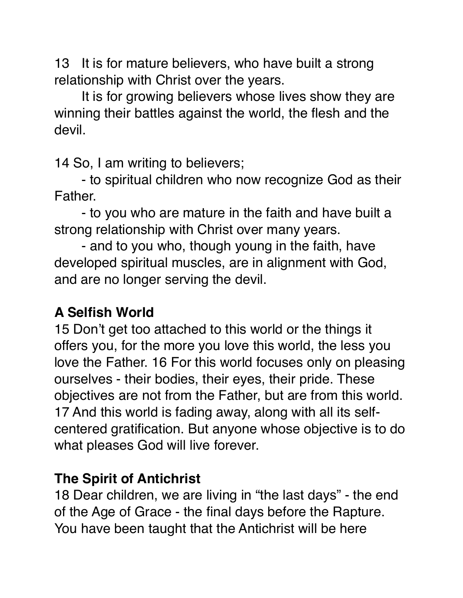13 It is for mature believers, who have built a strong relationship with Christ over the years.

It is for growing believers whose lives show they are winning their battles against the world, the flesh and the devil.

14 So, I am writing to believers;

- to spiritual children who now recognize God as their Father.

- to you who are mature in the faith and have built a strong relationship with Christ over many years.

- and to you who, though young in the faith, have developed spiritual muscles, are in alignment with God, and are no longer serving the devil.

### **A Selfish World**

15 Don't get too attached to this world or the things it offers you, for the more you love this world, the less you love the Father. 16 For this world focuses only on pleasing ourselves - their bodies, their eyes, their pride. These objectives are not from the Father, but are from this world. 17 And this world is fading away, along with all its selfcentered gratification. But anyone whose objective is to do what pleases God will live forever.

### **The Spirit of Antichrist**

18 Dear children, we are living in "the last days" - the end of the Age of Grace - the final days before the Rapture. You have been taught that the Antichrist will be here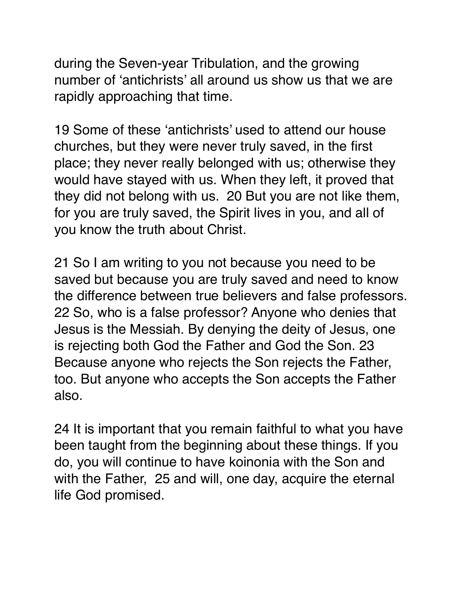during the Seven-year Tribulation, and the growing number of 'antichrists' all around us show us that we are rapidly approaching that time.

19 Some of these 'antichrists' used to attend our house churches, but they were never truly saved, in the first place; they never really belonged with us; otherwise they would have stayed with us. When they left, it proved that they did not belong with us. 20 But you are not like them, for you are truly saved, the Spirit lives in you, and all of you know the truth about Christ.

21 So I am writing to you not because you need to be saved but because you are truly saved and need to know the difference between true believers and false professors. 22 So, who is a false professor? Anyone who denies that Jesus is the Messiah. By denying the deity of Jesus, one is rejecting both God the Father and God the Son. 23 Because anyone who rejects the Son rejects the Father, too. But anyone who accepts the Son accepts the Father also.

24 It is important that you remain faithful to what you have been taught from the beginning about these things. If you do, you will continue to have koinonia with the Son and with the Father, 25 and will, one day, acquire the eternal life God promised.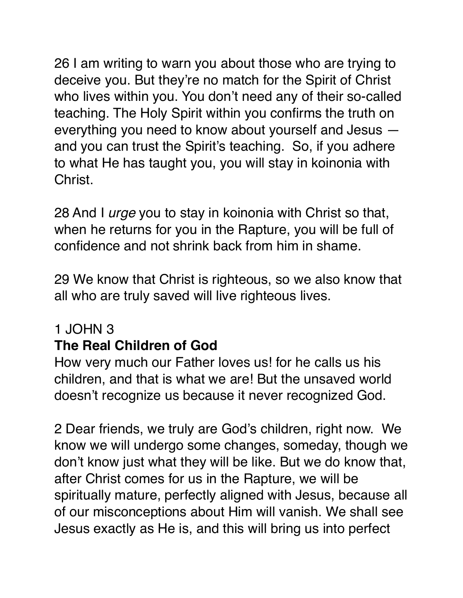26 I am writing to warn you about those who are trying to deceive you. But they're no match for the Spirit of Christ who lives within you. You don't need any of their so-called teaching. The Holy Spirit within you confirms the truth on everything you need to know about yourself and Jesus and you can trust the Spirit's teaching. So, if you adhere to what He has taught you, you will stay in koinonia with Christ.

28 And I *urge* you to stay in koinonia with Christ so that, when he returns for you in the Rapture, you will be full of confidence and not shrink back from him in shame.

29 We know that Christ is righteous, so we also know that all who are truly saved will live righteous lives.

### 1 JOHN 3

## **The Real Children of God**

How very much our Father loves us! for he calls us his children, and that is what we are! But the unsaved world doesn't recognize us because it never recognized God.

2 Dear friends, we truly are God's children, right now. We know we will undergo some changes, someday, though we don't know just what they will be like. But we do know that, after Christ comes for us in the Rapture, we will be spiritually mature, perfectly aligned with Jesus, because all of our misconceptions about Him will vanish. We shall see Jesus exactly as He is, and this will bring us into perfect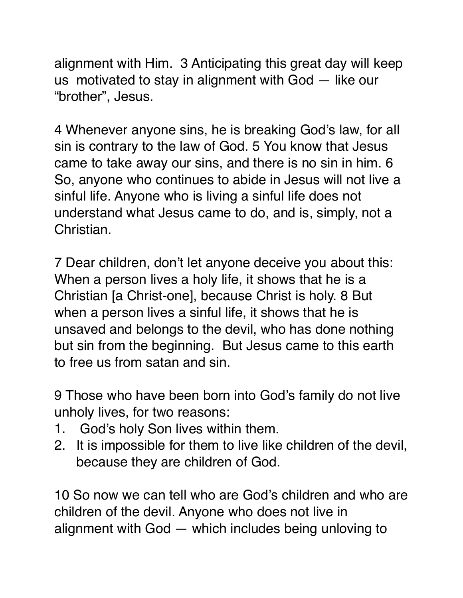alignment with Him. 3 Anticipating this great day will keep us motivated to stay in alignment with God — like our "brother", Jesus.

4 Whenever anyone sins, he is breaking God's law, for all sin is contrary to the law of God. 5 You know that Jesus came to take away our sins, and there is no sin in him. 6 So, anyone who continues to abide in Jesus will not live a sinful life. Anyone who is living a sinful life does not understand what Jesus came to do, and is, simply, not a Christian.

7 Dear children, don't let anyone deceive you about this: When a person lives a holy life, it shows that he is a Christian [a Christ-one], because Christ is holy. 8 But when a person lives a sinful life, it shows that he is unsaved and belongs to the devil, who has done nothing but sin from the beginning. But Jesus came to this earth to free us from satan and sin.

9 Those who have been born into God's family do not live unholy lives, for two reasons:

- 1. God's holy Son lives within them.
- 2. It is impossible for them to live like children of the devil, because they are children of God.

10 So now we can tell who are God's children and who are children of the devil. Anyone who does not live in alignment with God — which includes being unloving to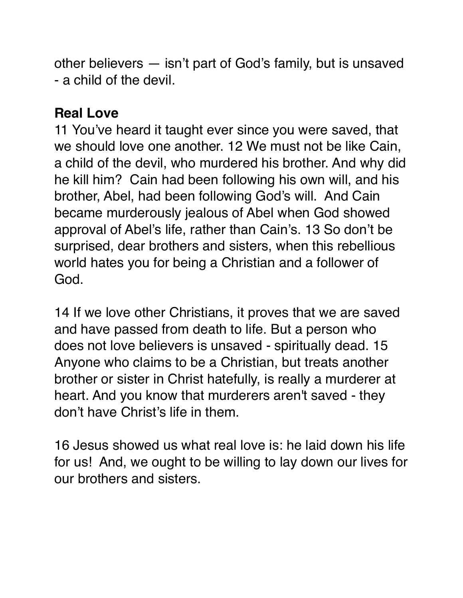other believers — isn't part of God's family, but is unsaved - a child of the devil.

### **Real Love**

11 You've heard it taught ever since you were saved, that we should love one another. 12 We must not be like Cain, a child of the devil, who murdered his brother. And why did he kill him? Cain had been following his own will, and his brother, Abel, had been following God's will. And Cain became murderously jealous of Abel when God showed approval of Abel's life, rather than Cain's. 13 So don't be surprised, dear brothers and sisters, when this rebellious world hates you for being a Christian and a follower of God.

14 If we love other Christians, it proves that we are saved and have passed from death to life. But a person who does not love believers is unsaved - spiritually dead. 15 Anyone who claims to be a Christian, but treats another brother or sister in Christ hatefully, is really a murderer at heart. And you know that murderers aren't saved - they don't have Christ's life in them.

16 Jesus showed us what real love is: he laid down his life for us! And, we ought to be willing to lay down our lives for our brothers and sisters.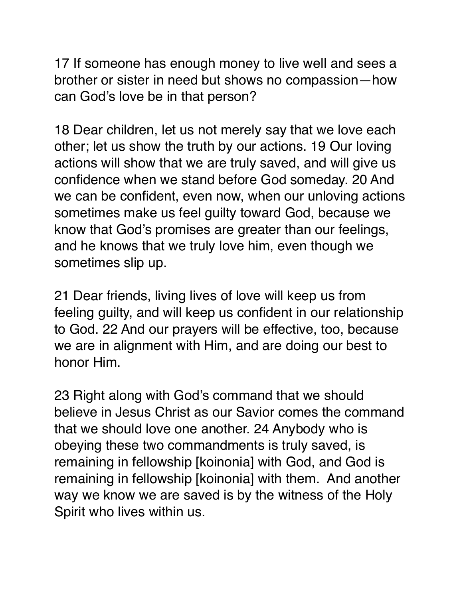17 If someone has enough money to live well and sees a brother or sister in need but shows no compassion—how can God's love be in that person?

18 Dear children, let us not merely say that we love each other; let us show the truth by our actions. 19 Our loving actions will show that we are truly saved, and will give us confidence when we stand before God someday. 20 And we can be confident, even now, when our unloving actions sometimes make us feel guilty toward God, because we know that God's promises are greater than our feelings, and he knows that we truly love him, even though we sometimes slip up.

21 Dear friends, living lives of love will keep us from feeling guilty, and will keep us confident in our relationship to God. 22 And our prayers will be effective, too, because we are in alignment with Him, and are doing our best to honor Him.

23 Right along with God's command that we should believe in Jesus Christ as our Savior comes the command that we should love one another. 24 Anybody who is obeying these two commandments is truly saved, is remaining in fellowship [koinonia] with God, and God is remaining in fellowship [koinonia] with them. And another way we know we are saved is by the witness of the Holy Spirit who lives within us.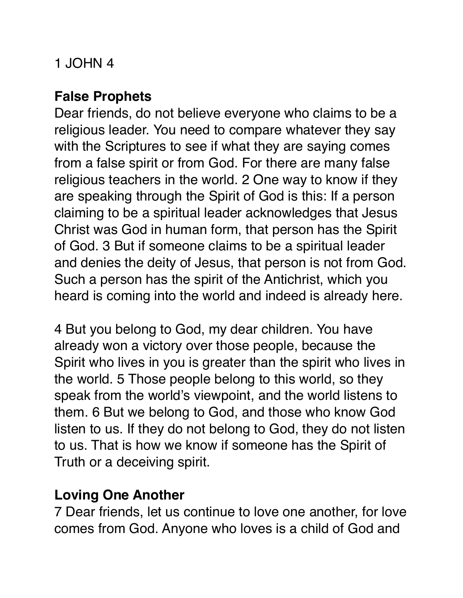## 1 JOHN 4

## **False Prophets**

Dear friends, do not believe everyone who claims to be a religious leader. You need to compare whatever they say with the Scriptures to see if what they are saying comes from a false spirit or from God. For there are many false religious teachers in the world. 2 One way to know if they are speaking through the Spirit of God is this: If a person claiming to be a spiritual leader acknowledges that Jesus Christ was God in human form, that person has the Spirit of God. 3 But if someone claims to be a spiritual leader and denies the deity of Jesus, that person is not from God. Such a person has the spirit of the Antichrist, which you heard is coming into the world and indeed is already here.

4 But you belong to God, my dear children. You have already won a victory over those people, because the Spirit who lives in you is greater than the spirit who lives in the world. 5 Those people belong to this world, so they speak from the world's viewpoint, and the world listens to them. 6 But we belong to God, and those who know God listen to us. If they do not belong to God, they do not listen to us. That is how we know if someone has the Spirit of Truth or a deceiving spirit.

### **Loving One Another**

7 Dear friends, let us continue to love one another, for love comes from God. Anyone who loves is a child of God and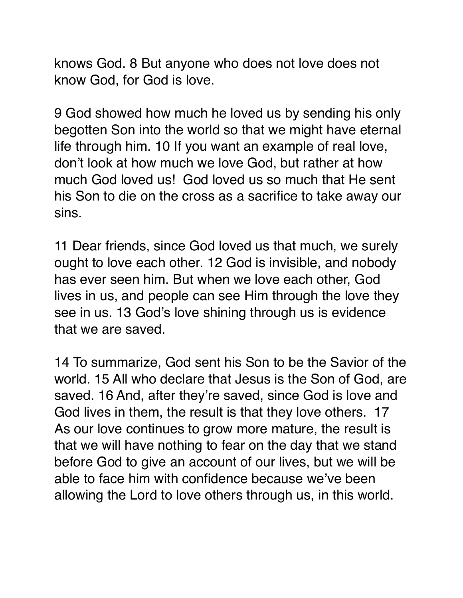knows God. 8 But anyone who does not love does not know God, for God is love.

9 God showed how much he loved us by sending his only begotten Son into the world so that we might have eternal life through him. 10 If you want an example of real love, don't look at how much we love God, but rather at how much God loved us! God loved us so much that He sent his Son to die on the cross as a sacrifice to take away our sins.

11 Dear friends, since God loved us that much, we surely ought to love each other. 12 God is invisible, and nobody has ever seen him. But when we love each other, God lives in us, and people can see Him through the love they see in us. 13 God's love shining through us is evidence that we are saved.

14 To summarize, God sent his Son to be the Savior of the world. 15 All who declare that Jesus is the Son of God, are saved. 16 And, after they're saved, since God is love and God lives in them, the result is that they love others. 17 As our love continues to grow more mature, the result is that we will have nothing to fear on the day that we stand before God to give an account of our lives, but we will be able to face him with confidence because we've been allowing the Lord to love others through us, in this world.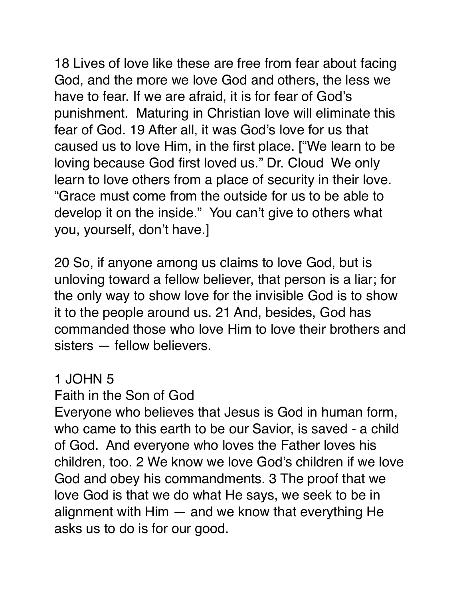18 Lives of love like these are free from fear about facing God, and the more we love God and others, the less we have to fear. If we are afraid, it is for fear of God's punishment. Maturing in Christian love will eliminate this fear of God. 19 After all, it was God's love for us that caused us to love Him, in the first place. ["We learn to be loving because God first loved us." Dr. Cloud We only learn to love others from a place of security in their love. "Grace must come from the outside for us to be able to develop it on the inside." You can't give to others what you, yourself, don't have.]

20 So, if anyone among us claims to love God, but is unloving toward a fellow believer, that person is a liar; for the only way to show love for the invisible God is to show it to the people around us. 21 And, besides, God has commanded those who love Him to love their brothers and sisters — fellow believers.

### 1 JOHN 5

### Faith in the Son of God

Everyone who believes that Jesus is God in human form, who came to this earth to be our Savior, is saved - a child of God. And everyone who loves the Father loves his children, too. 2 We know we love God's children if we love God and obey his commandments. 3 The proof that we love God is that we do what He says, we seek to be in alignment with Him — and we know that everything He asks us to do is for our good.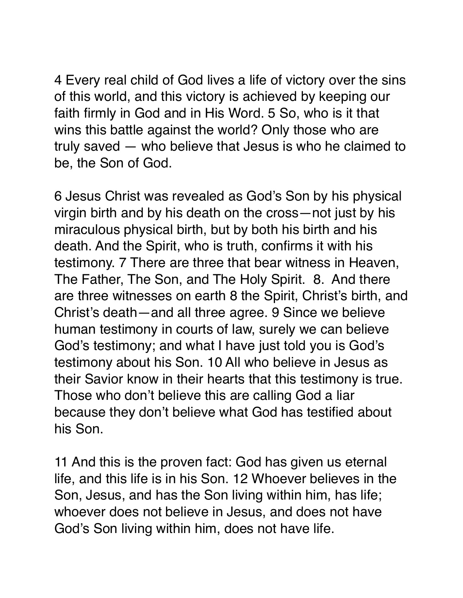4 Every real child of God lives a life of victory over the sins of this world, and this victory is achieved by keeping our faith firmly in God and in His Word. 5 So, who is it that wins this battle against the world? Only those who are truly saved — who believe that Jesus is who he claimed to be, the Son of God.

6 Jesus Christ was revealed as God's Son by his physical virgin birth and by his death on the cross—not just by his miraculous physical birth, but by both his birth and his death. And the Spirit, who is truth, confirms it with his testimony. 7 There are three that bear witness in Heaven, The Father, The Son, and The Holy Spirit. 8. And there are three witnesses on earth 8 the Spirit, Christ's birth, and Christ's death—and all three agree. 9 Since we believe human testimony in courts of law, surely we can believe God's testimony; and what I have just told you is God's testimony about his Son. 10 All who believe in Jesus as their Savior know in their hearts that this testimony is true. Those who don't believe this are calling God a liar because they don't believe what God has testified about his Son.

11 And this is the proven fact: God has given us eternal life, and this life is in his Son. 12 Whoever believes in the Son, Jesus, and has the Son living within him, has life; whoever does not believe in Jesus, and does not have God's Son living within him, does not have life.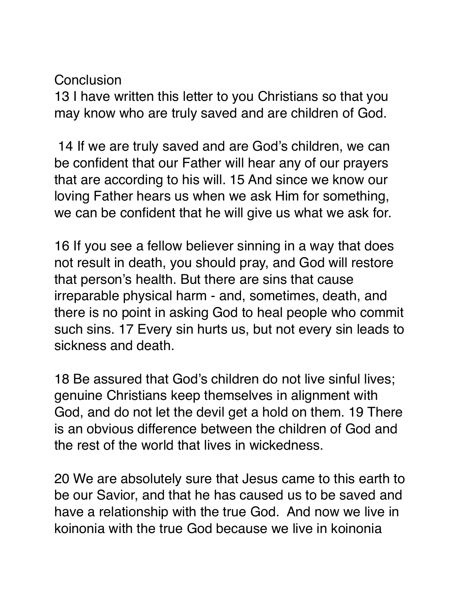#### Conclusion

13 I have written this letter to you Christians so that you may know who are truly saved and are children of God.

 14 If we are truly saved and are God's children, we can be confident that our Father will hear any of our prayers that are according to his will. 15 And since we know our loving Father hears us when we ask Him for something, we can be confident that he will give us what we ask for.

16 If you see a fellow believer sinning in a way that does not result in death, you should pray, and God will restore that person's health. But there are sins that cause irreparable physical harm - and, sometimes, death, and there is no point in asking God to heal people who commit such sins. 17 Every sin hurts us, but not every sin leads to sickness and death.

18 Be assured that God's children do not live sinful lives; genuine Christians keep themselves in alignment with God, and do not let the devil get a hold on them. 19 There is an obvious difference between the children of God and the rest of the world that lives in wickedness.

20 We are absolutely sure that Jesus came to this earth to be our Savior, and that he has caused us to be saved and have a relationship with the true God. And now we live in koinonia with the true God because we live in koinonia